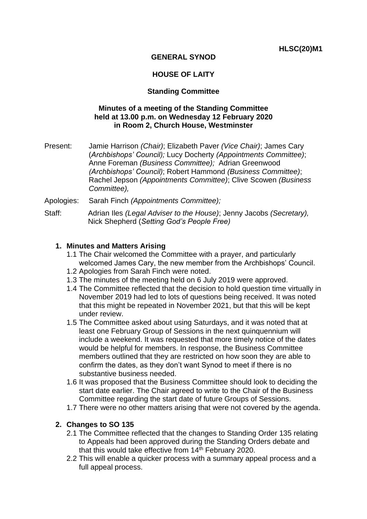## **GENERAL SYNOD**

## **HOUSE OF LAITY**

#### **Standing Committee**

#### **Minutes of a meeting of the Standing Committee held at 13.00 p.m. on Wednesday 12 February 2020 in Room 2, Church House, Westminster**

- Present: Jamie Harrison *(Chair)*; Elizabeth Paver *(Vice Chair)*; James Cary (*Archbishops' Council);* Lucy Docherty *(Appointments Committee)*; Anne Foreman *(Business Committee);* Adrian Greenwood *(Archbishops' Council)*; Robert Hammond *(Business Committee)*; Rachel Jepson *(Appointments Committee)*; Clive Scowen *(Business Committee),*
- Apologies: Sarah Finch *(Appointments Committee);*
- Staff: Adrian Iles *(Legal Adviser to the House)*; Jenny Jacobs *(Secretary),*  Nick Shepherd (*Setting God's People Free)*

#### **1. Minutes and Matters Arising**

- 1.1 The Chair welcomed the Committee with a prayer, and particularly welcomed James Cary, the new member from the Archbishops' Council.
- 1.2 Apologies from Sarah Finch were noted.
- 1.3 The minutes of the meeting held on 6 July 2019 were approved.
- 1.4 The Committee reflected that the decision to hold question time virtually in November 2019 had led to lots of questions being received. It was noted that this might be repeated in November 2021, but that this will be kept under review.
- 1.5 The Committee asked about using Saturdays, and it was noted that at least one February Group of Sessions in the next quinquennium will include a weekend. It was requested that more timely notice of the dates would be helpful for members. In response, the Business Committee members outlined that they are restricted on how soon they are able to confirm the dates, as they don't want Synod to meet if there is no substantive business needed.
- 1.6 It was proposed that the Business Committee should look to deciding the start date earlier. The Chair agreed to write to the Chair of the Business Committee regarding the start date of future Groups of Sessions.
- 1.7 There were no other matters arising that were not covered by the agenda.

## **2. Changes to SO 135**

- 2.1 The Committee reflected that the changes to Standing Order 135 relating to Appeals had been approved during the Standing Orders debate and that this would take effective from  $14<sup>th</sup>$  February 2020.
- 2.2 This will enable a quicker process with a summary appeal process and a full appeal process.